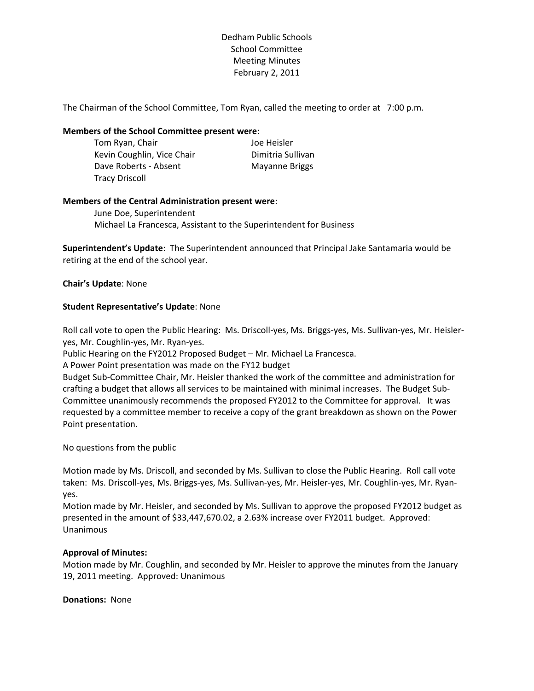Dedham Public Schools School Committee Meeting Minutes February 2, 2011

The Chairman of the School Committee, Tom Ryan, called the meeting to order at 7:00 p.m.

### **Members of the School Committee present were**:

Tom Ryan, Chair **In the State Control** Soc Heisler Kevin Coughlin, Vice Chair **Dimitria Sullivan** Dave Roberts - Absent Mayanne Briggs Tracy Driscoll

### **Members of the Central Administration present were**:

June Doe, Superintendent Michael La Francesca, Assistant to the Superintendent for Business

**Superintendent's Update**: The Superintendent announced that Principal Jake Santamaria would be retiring at the end of the school year.

#### **Chair's Update**: None

### **Student Representative's Update**: None

Roll call vote to open the Public Hearing: Ms. Driscoll‐yes, Ms. Briggs‐yes, Ms. Sullivan‐yes, Mr. Heisler‐ yes, Mr. Coughlin‐yes, Mr. Ryan‐yes.

Public Hearing on the FY2012 Proposed Budget – Mr. Michael La Francesca.

A Power Point presentation was made on the FY12 budget

Budget Sub‐Committee Chair, Mr. Heisler thanked the work of the committee and administration for crafting a budget that allows all services to be maintained with minimal increases. The Budget Sub‐ Committee unanimously recommends the proposed FY2012 to the Committee for approval. It was requested by a committee member to receive a copy of the grant breakdown as shown on the Power Point presentation.

No questions from the public

Motion made by Ms. Driscoll, and seconded by Ms. Sullivan to close the Public Hearing. Roll call vote taken: Ms. Driscoll‐yes, Ms. Briggs‐yes, Ms. Sullivan‐yes, Mr. Heisler‐yes, Mr. Coughlin‐yes, Mr. Ryan‐ yes.

Motion made by Mr. Heisler, and seconded by Ms. Sullivan to approve the proposed FY2012 budget as presented in the amount of \$33,447,670.02, a 2.63% increase over FY2011 budget. Approved: Unanimous

### **Approval of Minutes:**

Motion made by Mr. Coughlin, and seconded by Mr. Heisler to approve the minutes from the January 19, 2011 meeting. Approved: Unanimous

**Donations:** None